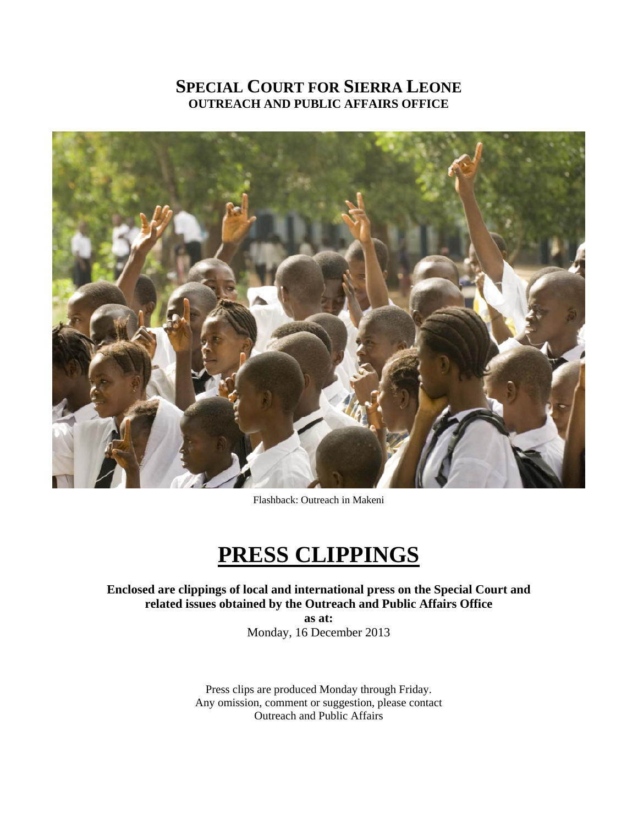# **SPECIAL COURT FOR SIERRA LEONE OUTREACH AND PUBLIC AFFAIRS OFFICE**



Flashback: Outreach in Makeni

# **PRESS CLIPPINGS**

**Enclosed are clippings of local and international press on the Special Court and related issues obtained by the Outreach and Public Affairs Office** 

> **as at:**  Monday, 16 December 2013

Press clips are produced Monday through Friday. Any omission, comment or suggestion, please contact Outreach and Public Affairs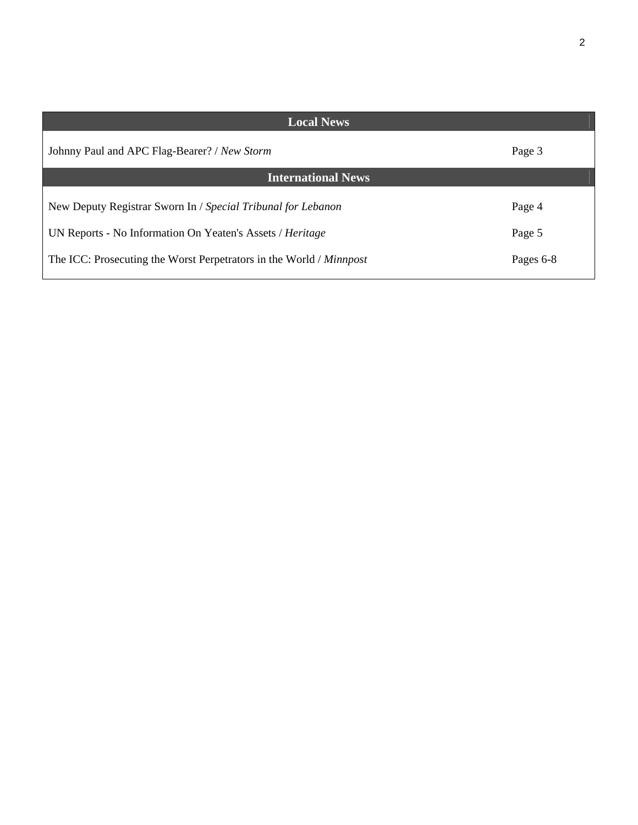| ٦            |  |
|--------------|--|
| I<br>۰,<br>٠ |  |
|              |  |

| <b>Local News</b>                                                   |           |  |  |
|---------------------------------------------------------------------|-----------|--|--|
| Johnny Paul and APC Flag-Bearer? / New Storm                        | Page 3    |  |  |
| <b>International News</b>                                           |           |  |  |
| New Deputy Registrar Sworn In / Special Tribunal for Lebanon        | Page 4    |  |  |
| UN Reports - No Information On Yeaten's Assets / Heritage           | Page 5    |  |  |
| The ICC: Prosecuting the Worst Perpetrators in the World / Minnpost | Pages 6-8 |  |  |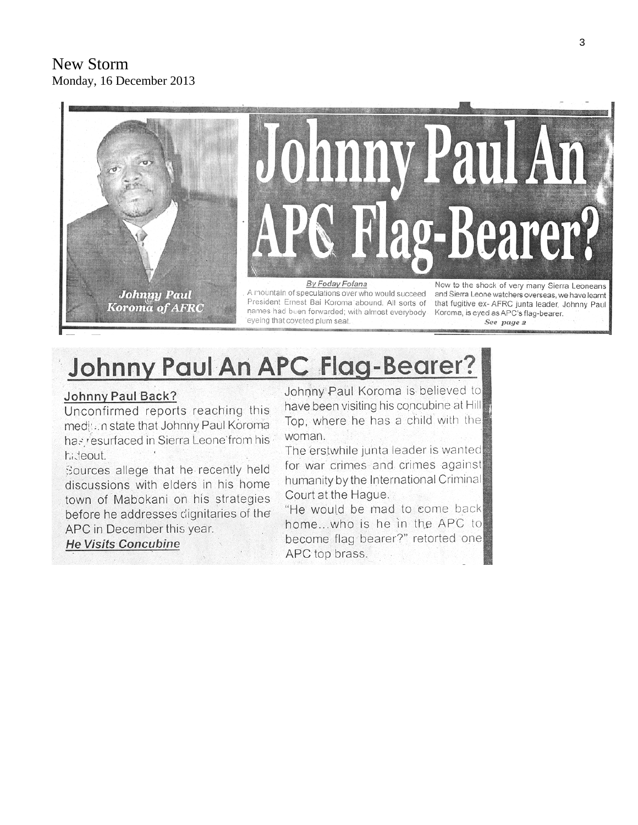

# Johnny Paul An APC Flag-Bearer?

# Johnny Paul Back?

Unconfirmed reports reaching this medition state that Johnny Paul Koroma has resurfaced in Sierra Leone from his hideout.

Sources allege that he recently held discussions with elders in his home town of Mabokani on his strategies before he addresses dignitaries of the APC in December this year.

**He Visits Concubine** 

Johnny Paul Koroma is believed to have been visiting his concubine at Hill Top, where he has a child with the woman.

The erstwhile junta leader is wanted for war crimes and crimes against humanity by the International Criminal Court at the Hague.

"He would be mad to come back home...who is he in the APC to become flag bearer?" retorted one APC top brass.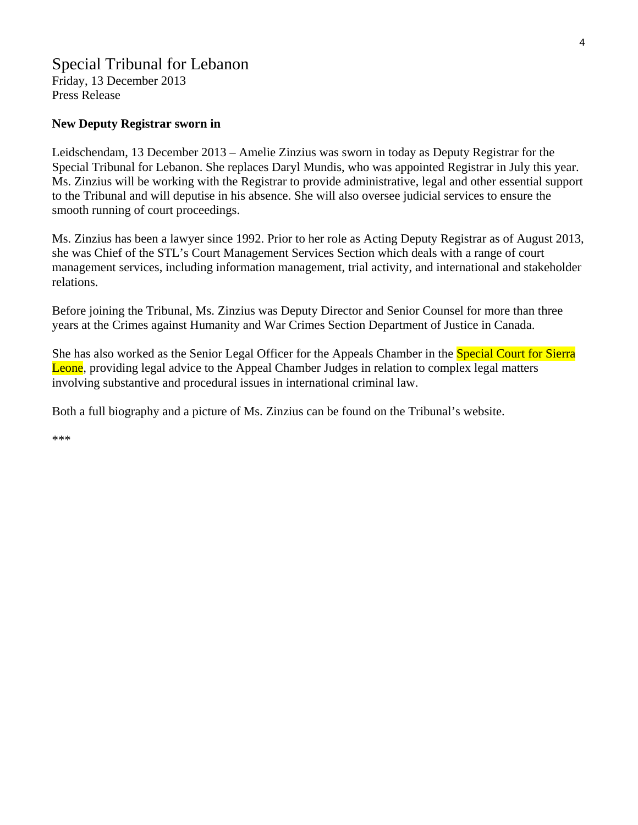### Special Tribunal for Lebanon Friday, 13 December 2013 Press Release

#### **New Deputy Registrar sworn in**

Leidschendam, 13 December 2013 – Amelie Zinzius was sworn in today as Deputy Registrar for the Special Tribunal for Lebanon. She replaces Daryl Mundis, who was appointed Registrar in July this year. Ms. Zinzius will be working with the Registrar to provide administrative, legal and other essential support to the Tribunal and will deputise in his absence. She will also oversee judicial services to ensure the smooth running of court proceedings.

Ms. Zinzius has been a lawyer since 1992. Prior to her role as Acting Deputy Registrar as of August 2013, she was Chief of the STL's Court Management Services Section which deals with a range of court management services, including information management, trial activity, and international and stakeholder relations.

Before joining the Tribunal, Ms. Zinzius was Deputy Director and Senior Counsel for more than three years at the Crimes against Humanity and War Crimes Section Department of Justice in Canada.

She has also worked as the Senior Legal Officer for the Appeals Chamber in the Special Court for Sierra Leone, providing legal advice to the Appeal Chamber Judges in relation to complex legal matters involving substantive and procedural issues in international criminal law.

Both a full biography and a picture of Ms. Zinzius can be found on the Tribunal's website.

\*\*\*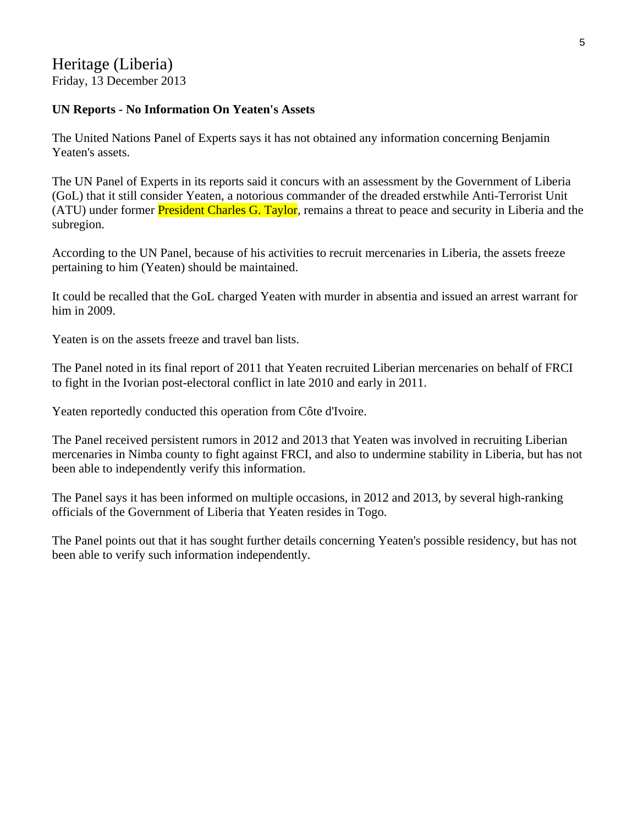# Heritage (Liberia) Friday, 13 December 2013

# **UN Reports - No Information On Yeaten's Assets**

The United Nations Panel of Experts says it has not obtained any information concerning Benjamin Yeaten's assets.

The UN Panel of Experts in its reports said it concurs with an assessment by the Government of Liberia (GoL) that it still consider Yeaten, a notorious commander of the dreaded erstwhile Anti-Terrorist Unit (ATU) under former **President Charles G. Taylor**, remains a threat to peace and security in Liberia and the subregion.

According to the UN Panel, because of his activities to recruit mercenaries in Liberia, the assets freeze pertaining to him (Yeaten) should be maintained.

It could be recalled that the GoL charged Yeaten with murder in absentia and issued an arrest warrant for him in 2009.

Yeaten is on the assets freeze and travel ban lists.

The Panel noted in its final report of 2011 that Yeaten recruited Liberian mercenaries on behalf of FRCI to fight in the Ivorian post-electoral conflict in late 2010 and early in 2011.

Yeaten reportedly conducted this operation from Côte d'Ivoire.

The Panel received persistent rumors in 2012 and 2013 that Yeaten was involved in recruiting Liberian mercenaries in Nimba county to fight against FRCI, and also to undermine stability in Liberia, but has not been able to independently verify this information.

The Panel says it has been informed on multiple occasions, in 2012 and 2013, by several high-ranking officials of the Government of Liberia that Yeaten resides in Togo.

The Panel points out that it has sought further details concerning Yeaten's possible residency, but has not been able to verify such information independently.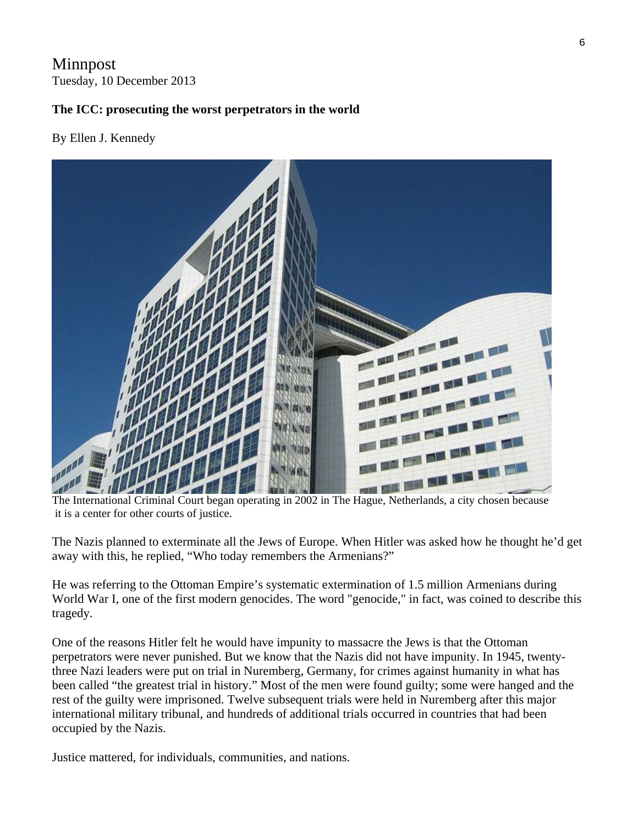# Minnpost Tuesday, 10 December 2013

# **The ICC: prosecuting the worst perpetrators in the world**

### By Ellen J. Kennedy



it is a center for other courts of justice.

The Nazis planned to exterminate all the Jews of Europe. When Hitler was asked how he thought he'd get away with this, he replied, "Who today remembers the Armenians?"

He was referring to the Ottoman Empire's systematic extermination of 1.5 million Armenians during World War I, one of the first modern genocides. The word "genocide," in fact, was coined to describe this tragedy.

One of the reasons Hitler felt he would have impunity to massacre the Jews is that the Ottoman perpetrators were never punished. But we know that the Nazis did not have impunity. In 1945, twentythree Nazi leaders were put on trial in Nuremberg, Germany, for crimes against humanity in what has been called "the greatest trial in history." Most of the men were found guilty; some were hanged and the rest of the guilty were imprisoned. Twelve subsequent trials were held in Nuremberg after this major international military tribunal, and hundreds of additional trials occurred in countries that had been occupied by the Nazis.

Justice mattered, for individuals, communities, and nations.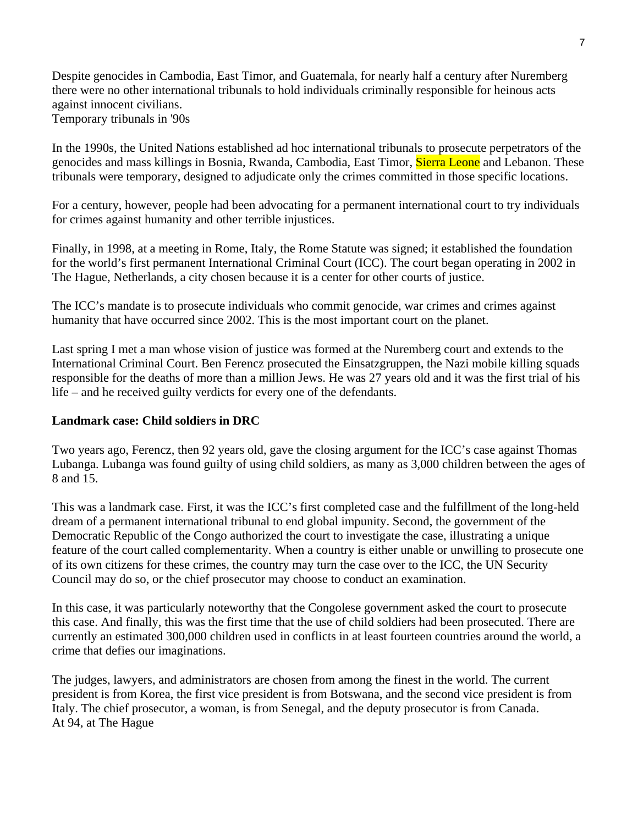Despite genocides in Cambodia, East Timor, and Guatemala, for nearly half a century after Nuremberg there were no other international tribunals to hold individuals criminally responsible for heinous acts against innocent civilians. Temporary tribunals in '90s

In the 1990s, the United Nations established ad hoc international tribunals to prosecute perpetrators of the genocides and mass killings in Bosnia, Rwanda, Cambodia, East Timor, Sierra Leone and Lebanon. These tribunals were temporary, designed to adjudicate only the crimes committed in those specific locations.

For a century, however, people had been advocating for a permanent international court to try individuals for crimes against humanity and other terrible injustices.

Finally, in 1998, at a meeting in Rome, Italy, the Rome Statute was signed; it established the foundation for the world's first permanent International Criminal Court (ICC). The court began operating in 2002 in The Hague, Netherlands, a city chosen because it is a center for other courts of justice.

The ICC's mandate is to prosecute individuals who commit genocide, war crimes and crimes against humanity that have occurred since 2002. This is the most important court on the planet.

Last spring I met a man whose vision of justice was formed at the Nuremberg court and extends to the International Criminal Court. Ben Ferencz prosecuted the Einsatzgruppen, the Nazi mobile killing squads responsible for the deaths of more than a million Jews. He was 27 years old and it was the first trial of his life – and he received guilty verdicts for every one of the defendants.

# **Landmark case: Child soldiers in DRC**

Two years ago, Ferencz, then 92 years old, gave the closing argument for the ICC's case against Thomas Lubanga. Lubanga was found guilty of using child soldiers, as many as 3,000 children between the ages of 8 and 15.

This was a landmark case. First, it was the ICC's first completed case and the fulfillment of the long-held dream of a permanent international tribunal to end global impunity. Second, the government of the Democratic Republic of the Congo authorized the court to investigate the case, illustrating a unique feature of the court called complementarity. When a country is either unable or unwilling to prosecute one of its own citizens for these crimes, the country may turn the case over to the ICC, the UN Security Council may do so, or the chief prosecutor may choose to conduct an examination.

In this case, it was particularly noteworthy that the Congolese government asked the court to prosecute this case. And finally, this was the first time that the use of child soldiers had been prosecuted. There are currently an estimated 300,000 children used in conflicts in at least fourteen countries around the world, a crime that defies our imaginations.

The judges, lawyers, and administrators are chosen from among the finest in the world. The current president is from Korea, the first vice president is from Botswana, and the second vice president is from Italy. The chief prosecutor, a woman, is from Senegal, and the deputy prosecutor is from Canada. At 94, at The Hague